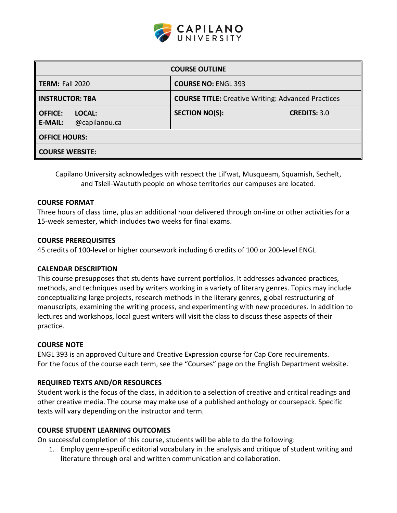

| <b>COURSE OUTLINE</b>                                       |                                                           |                     |  |  |  |
|-------------------------------------------------------------|-----------------------------------------------------------|---------------------|--|--|--|
| <b>TERM: Fall 2020</b>                                      | <b>COURSE NO: ENGL 393</b>                                |                     |  |  |  |
| <b>INSTRUCTOR: TBA</b>                                      | <b>COURSE TITLE:</b> Creative Writing: Advanced Practices |                     |  |  |  |
| <b>OFFICE:</b><br>LOCAL:<br>@capilanou.ca<br><b>E-MAIL:</b> | <b>SECTION NO(S):</b>                                     | <b>CREDITS: 3.0</b> |  |  |  |
| <b>OFFICE HOURS:</b>                                        |                                                           |                     |  |  |  |
| <b>COURSE WEBSITE:</b>                                      |                                                           |                     |  |  |  |

Capilano University acknowledges with respect the Lil'wat, Musqueam, Squamish, Sechelt, and Tsleil-Waututh people on whose territories our campuses are located.

### **COURSE FORMAT**

Three hours of class time, plus an additional hour delivered through on-line or other activities for a 15-week semester, which includes two weeks for final exams.

#### **COURSE PREREQUISITES**

45 credits of 100-level or higher coursework including 6 credits of 100 or 200-level ENGL

### **CALENDAR DESCRIPTION**

This course presupposes that students have current portfolios. It addresses advanced practices, methods, and techniques used by writers working in a variety of literary genres. Topics may include conceptualizing large projects, research methods in the literary genres, global restructuring of manuscripts, examining the writing process, and experimenting with new procedures. In addition to lectures and workshops, local guest writers will visit the class to discuss these aspects of their practice.

#### **COURSE NOTE**

ENGL 393 is an approved Culture and Creative Expression course for Cap Core requirements. For the focus of the course each term, see the "Courses" page on the English Department website.

## **REQUIRED TEXTS AND/OR RESOURCES**

Student work is the focus of the class, in addition to a selection of creative and critical readings and other creative media. The course may make use of a published anthology or coursepack. Specific texts will vary depending on the instructor and term.

#### **COURSE STUDENT LEARNING OUTCOMES**

On successful completion of this course, students will be able to do the following:

1. Employ genre-specific editorial vocabulary in the analysis and critique of student writing and literature through oral and written communication and collaboration.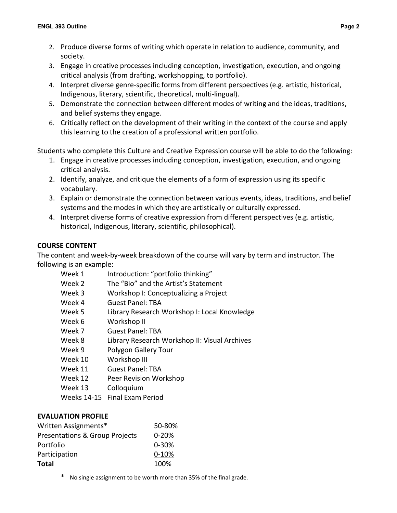- 2. Produce diverse forms of writing which operate in relation to audience, community, and society.
- 3. Engage in creative processes including conception, investigation, execution, and ongoing critical analysis (from drafting, workshopping, to portfolio).
- 4. Interpret diverse genre-specific forms from different perspectives (e.g. artistic, historical, Indigenous, literary, scientific, theoretical, multi-lingual).
- 5. Demonstrate the connection between different modes of writing and the ideas, traditions, and belief systems they engage.
- 6. Critically reflect on the development of their writing in the context of the course and apply this learning to the creation of a professional written portfolio.

Students who complete this Culture and Creative Expression course will be able to do the following:

- 1. Engage in creative processes including conception, investigation, execution, and ongoing critical analysis.
- 2. Identify, analyze, and critique the elements of a form of expression using its specific vocabulary.
- 3. Explain or demonstrate the connection between various events, ideas, traditions, and belief systems and the modes in which they are artistically or culturally expressed.
- 4. Interpret diverse forms of creative expression from different perspectives (e.g. artistic, historical, Indigenous, literary, scientific, philosophical).

## **COURSE CONTENT**

The content and week-by-week breakdown of the course will vary by term and instructor. The following is an example:

| Introduction: "portfolio thinking"            |
|-----------------------------------------------|
| The "Bio" and the Artist's Statement          |
| Workshop I: Conceptualizing a Project         |
| <b>Guest Panel: TBA</b>                       |
| Library Research Workshop I: Local Knowledge  |
| Workshop II                                   |
| <b>Guest Panel: TBA</b>                       |
| Library Research Workshop II: Visual Archives |
| Polygon Gallery Tour                          |
| Workshop III                                  |
| <b>Guest Panel: TBA</b>                       |
| Peer Revision Workshop                        |
| Colloquium                                    |
|                                               |

Weeks 14-15 Final Exam Period

## **EVALUATION PROFILE**

| Written Assignments*                      | 50-80%    |
|-------------------------------------------|-----------|
| <b>Presentations &amp; Group Projects</b> | $0 - 20%$ |
| Portfolio                                 | $0 - 30%$ |
| Participation                             | $0 - 10%$ |
| <b>Total</b>                              | 100%      |

No single assignment to be worth more than 35% of the final grade.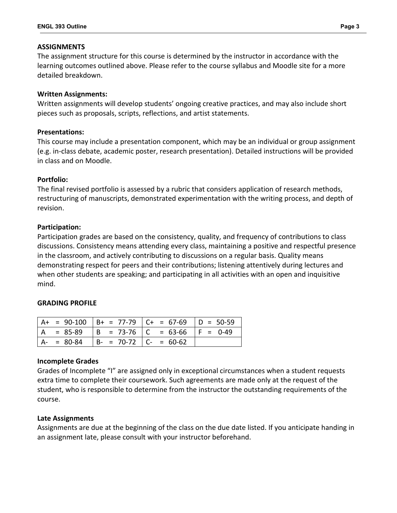### **ASSIGNMENTS**

The assignment structure for this course is determined by the instructor in accordance with the learning outcomes outlined above. Please refer to the course syllabus and Moodle site for a more detailed breakdown.

### **Written Assignments:**

Written assignments will develop students' ongoing creative practices, and may also include short pieces such as proposals, scripts, reflections, and artist statements.

### **Presentations:**

This course may include a presentation component, which may be an individual or group assignment (e.g. in-class debate, academic poster, research presentation). Detailed instructions will be provided in class and on Moodle.

## **Portfolio:**

The final revised portfolio is assessed by a rubric that considers application of research methods, restructuring of manuscripts, demonstrated experimentation with the writing process, and depth of revision.

### **Participation:**

Participation grades are based on the consistency, quality, and frequency of contributions to class discussions. Consistency means attending every class, maintaining a positive and respectful presence in the classroom, and actively contributing to discussions on a regular basis. Quality means demonstrating respect for peers and their contributions; listening attentively during lectures and when other students are speaking; and participating in all activities with an open and inquisitive mind.

## **GRADING PROFILE**

|     |               |                                             | $A+ = 90-100$ $B+ = 77-79$ $C+ = 67-69$ $D = 50-59$ |  |
|-----|---------------|---------------------------------------------|-----------------------------------------------------|--|
| l A |               |                                             | $\angle$ = 85-89   B = 73-76   C = 63-66   F = 0-49 |  |
|     | $A - = 80-84$ | $\vert B - 70 - 72 \vert C - 60 - 62 \vert$ |                                                     |  |

#### **Incomplete Grades**

Grades of Incomplete "I" are assigned only in exceptional circumstances when a student requests extra time to complete their coursework. Such agreements are made only at the request of the student, who is responsible to determine from the instructor the outstanding requirements of the course.

#### **Late Assignments**

Assignments are due at the beginning of the class on the due date listed. If you anticipate handing in an assignment late, please consult with your instructor beforehand.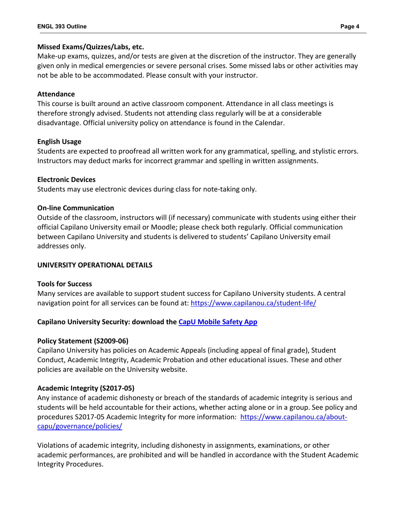## **Missed Exams/Quizzes/Labs, etc.**

Make-up exams, quizzes, and/or tests are given at the discretion of the instructor. They are generally given only in medical emergencies or severe personal crises. Some missed labs or other activities may not be able to be accommodated. Please consult with your instructor.

## **Attendance**

This course is built around an active classroom component. Attendance in all class meetings is therefore strongly advised. Students not attending class regularly will be at a considerable disadvantage. Official university policy on attendance is found in the Calendar.

## **English Usage**

Students are expected to proofread all written work for any grammatical, spelling, and stylistic errors. Instructors may deduct marks for incorrect grammar and spelling in written assignments.

## **Electronic Devices**

Students may use electronic devices during class for note-taking only.

## **On-line Communication**

Outside of the classroom, instructors will (if necessary) communicate with students using either their official Capilano University email or Moodle; please check both regularly. Official communication between Capilano University and students is delivered to students' Capilano University email addresses only.

# **UNIVERSITY OPERATIONAL DETAILS**

## **Tools for Success**

Many services are available to support student success for Capilano University students. A central navigation point for all services can be found at:<https://www.capilanou.ca/student-life/>

# **Capilano University Security: download the [CapU Mobile Safety App](https://www.capilanou.ca/student-life/support--wellness/safety--security/capu-safe-app/)**

# **Policy Statement (S2009-06)**

Capilano University has policies on Academic Appeals (including appeal of final grade), Student Conduct, Academic Integrity, Academic Probation and other educational issues. These and other policies are available on the University website.

# **Academic Integrity (S2017-05)**

Any instance of academic dishonesty or breach of the standards of academic integrity is serious and students will be held accountable for their actions, whether acting alone or in a group. See policy and procedures S2017-05 Academic Integrity for more information: [https://www.capilanou.ca/about](https://www.capilanou.ca/about-capu/governance/policies/)[capu/governance/policies/](https://www.capilanou.ca/about-capu/governance/policies/)

Violations of academic integrity, including dishonesty in assignments, examinations, or other academic performances, are prohibited and will be handled in accordance with the Student Academic Integrity Procedures.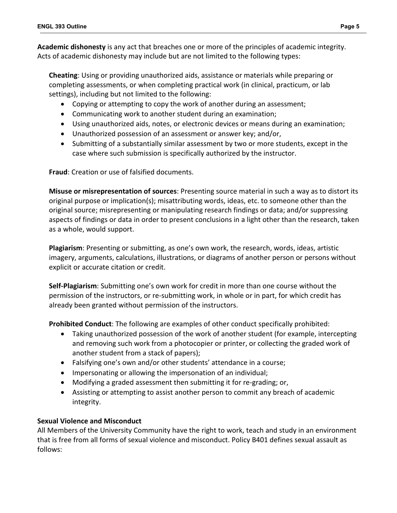**Academic dishonesty** is any act that breaches one or more of the principles of academic integrity. Acts of academic dishonesty may include but are not limited to the following types:

**Cheating**: Using or providing unauthorized aids, assistance or materials while preparing or completing assessments, or when completing practical work (in clinical, practicum, or lab settings), including but not limited to the following:

- Copying or attempting to copy the work of another during an assessment;
- Communicating work to another student during an examination;
- Using unauthorized aids, notes, or electronic devices or means during an examination;
- Unauthorized possession of an assessment or answer key; and/or,
- Submitting of a substantially similar assessment by two or more students, except in the case where such submission is specifically authorized by the instructor.

**Fraud**: Creation or use of falsified documents.

**Misuse or misrepresentation of sources**: Presenting source material in such a way as to distort its original purpose or implication(s); misattributing words, ideas, etc. to someone other than the original source; misrepresenting or manipulating research findings or data; and/or suppressing aspects of findings or data in order to present conclusions in a light other than the research, taken as a whole, would support.

**Plagiarism**: Presenting or submitting, as one's own work, the research, words, ideas, artistic imagery, arguments, calculations, illustrations, or diagrams of another person or persons without explicit or accurate citation or credit.

**Self-Plagiarism**: Submitting one's own work for credit in more than one course without the permission of the instructors, or re-submitting work, in whole or in part, for which credit has already been granted without permission of the instructors.

**Prohibited Conduct**: The following are examples of other conduct specifically prohibited:

- Taking unauthorized possession of the work of another student (for example, intercepting and removing such work from a photocopier or printer, or collecting the graded work of another student from a stack of papers);
- Falsifying one's own and/or other students' attendance in a course;
- Impersonating or allowing the impersonation of an individual;
- Modifying a graded assessment then submitting it for re-grading; or,
- Assisting or attempting to assist another person to commit any breach of academic integrity.

## **Sexual Violence and Misconduct**

All Members of the University Community have the right to work, teach and study in an environment that is free from all forms of sexual violence and misconduct. Policy B401 defines sexual assault as follows: